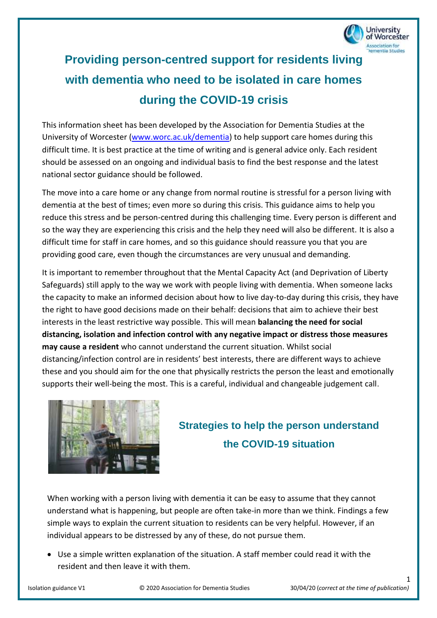

# **Providing person-centred support for residents living with dementia who need to be isolated in care homes during the COVID-19 crisis**

This information sheet has been developed by the Association for Dementia Studies at the University of Worcester [\(www.worc.ac.uk/dementia\)](http://www.worc.ac.uk/dementia) to help support care homes during this difficult time. It is best practice at the time of writing and is general advice only. Each resident should be assessed on an ongoing and individual basis to find the best response and the latest national sector guidance should be followed.

The move into a care home or any change from normal routine is stressful for a person living with dementia at the best of times; even more so during this crisis. This guidance aims to help you reduce this stress and be person-centred during this challenging time. Every person is different and so the way they are experiencing this crisis and the help they need will also be different. It is also a difficult time for staff in care homes, and so this guidance should reassure you that you are providing good care, even though the circumstances are very unusual and demanding.

It is important to remember throughout that the Mental Capacity Act (and Deprivation of Liberty Safeguards) still apply to the way we work with people living with dementia. When someone lacks the capacity to make an informed decision about how to live day-to-day during this crisis, they have the right to have good decisions made on their behalf: decisions that aim to achieve their best interests in the least restrictive way possible. This will mean **balancing the need for social distancing, isolation and infection control with any negative impact or distress those measures may cause a resident** who cannot understand the current situation. Whilst social distancing/infection control are in residents' best interests, there are different ways to achieve these and you should aim for the one that physically restricts the person the least and emotionally supports their well-being the most. This is a careful, individual and changeable judgement call.



## **Strategies to help the person understand the COVID-19 situation**

When working with a person living with dementia it can be easy to assume that they cannot understand what is happening, but people are often take-in more than we think. Findings a few simple ways to explain the current situation to residents can be very helpful. However, if an individual appears to be distressed by any of these, do not pursue them.

• Use a simple written explanation of the situation. A staff member could read it with the resident and then leave it with them.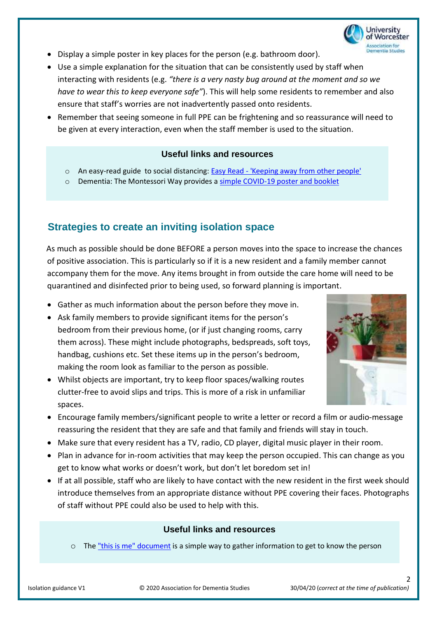

- Display a simple poster in key places for the person (e.g. bathroom door).
- Use a simple explanation for the situation that can be consistently used by staff when interacting with residents (e.g. *"there is a very nasty bug around at the moment and so we have to wear this to keep everyone safe"*). This will help some residents to remember and also ensure that staff's worries are not inadvertently passed onto residents.
- Remember that seeing someone in full PPE can be frightening and so reassurance will need to be given at every interaction, even when the staff member is used to the situation.

#### **Useful links and resources**

- o An easy-read guide to social distancing: Easy Read ['Keeping away from other people'](https://assets.publishing.service.gov.uk/government/uploads/system/uploads/attachment_data/file/876699/COVID-19_Keeping_away_from_other_people_20200328.pdf)
- o Dementia: The Montessori Way provides a [simple COVID-19 poster and booklet](https://dementiathemontessoriway.co.uk/covid-19-resources/)

## **Strategies to create an inviting isolation space**

 As much as possible should be done BEFORE a person moves into the space to increase the chances of positive association. This is particularly so if it is a new resident and a family member cannot accompany them for the move. Any items brought in from outside the care home will need to be quarantined and disinfected prior to being used, so forward planning is important.

- Gather as much information about the person before they move in.
- Ask family members to provide significant items for the person's bedroom from their previous home, (or if just changing rooms, carry them across). These might include photographs, bedspreads, soft toys, handbag, cushions etc. Set these items up in the person's bedroom, making the room look as familiar to the person as possible.
- Whilst objects are important, try to keep floor spaces/walking routes clutter-free to avoid slips and trips. This is more of a risk in unfamiliar spaces.



- Encourage family members/significant people to write a letter or record a film or audio-message reassuring the resident that they are safe and that family and friends will stay in touch.
- Make sure that every resident has a TV, radio, CD player, digital music player in their room.
- Plan in advance for in-room activities that may keep the person occupied. This can change as you get to know what works or doesn't work, but don't let boredom set in!
- If at all possible, staff who are likely to have contact with the new resident in the first week should introduce themselves from an appropriate distance without PPE covering their faces. Photographs of staff without PPE could also be used to help with this.

#### **Useful links and resources**

o The ["this is me" document](https://www.alzheimers.org.uk/sites/default/files/migrate/downloads/this_is_me.pdf) is a simple way to gather information to get to know the person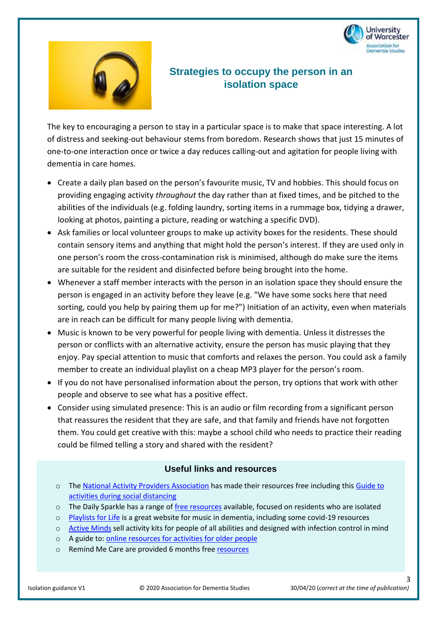



### **Strategies to occupy the person in an isolation space**

The key to encouraging a person to stay in a particular space is to make that space interesting. A lot of distress and seeking-out behaviour stems from boredom. Research shows that just 15 minutes of one-to-one interaction once or twice a day reduces calling-out and agitation for people living with dementia in care homes.

- Create a daily plan based on the person's favourite music, TV and hobbies. This should focus on providing engaging activity *throughout* the day rather than at fixed times, and be pitched to the abilities of the individuals (e.g. folding laundry, sorting items in a rummage box, tidying a drawer, looking at photos, painting a picture, reading or watching a specific DVD).
- Ask families or local volunteer groups to make up activity boxes for the residents. These should contain sensory items and anything that might hold the person's interest. If they are used only in one person's room the cross-contamination risk is minimised, although do make sure the items are suitable for the resident and disinfected before being brought into the home.
- Whenever a staff member interacts with the person in an isolation space they should ensure the person is engaged in an activity before they leave (e.g. "We have some socks here that need sorting, could you help by pairing them up for me?") Initiation of an activity, even when materials are in reach can be difficult for many people living with dementia.
- Music is known to be very powerful for people living with dementia. Unless it distresses the person or conflicts with an alternative activity, ensure the person has music playing that they enjoy. Pay special attention to music that comforts and relaxes the person. You could ask a family member to create an individual playlist on a cheap MP3 player for the person's room.
- If you do not have personalised information about the person, try options that work with other people and observe to see what has a positive effect.
- Consider using simulated presence: This is an audio or film recording from a significant person that reassures the resident that they are safe, and that family and friends have not forgotten them. You could get creative with this: maybe a school child who needs to practice their reading could be filmed telling a story and shared with the resident?

#### **Useful links and resources**

- o The [National Activity Providers Association](http://napa-activities.co.uk/membership/free-resources) has made their resources free including this [Guide to](https://napa-activities.co.uk/wp-content/uploads/2020/04/NAPA-Guidance-Social-distancing-April-2020-002.pdf)  [activities during social distancing](https://napa-activities.co.uk/wp-content/uploads/2020/04/NAPA-Guidance-Social-distancing-April-2020-002.pdf)
- o The Daily Sparkle has a range of [free resources](https://www.dailysparkle.co.uk/covid19-response/) available, focused on residents who are isolated
- o [Playlists for Life](https://www.playlistforlife.org.uk/) is a great website for music in dementia, including some covid-19 resources
- o [Active Minds](https://www.active-minds.org/uk/) sell activity kits for people of all abilities and designed with infection control in mind
- o A guide to[: online resources for activities for older people](https://healthinnovationnetwork.com/wp-content/uploads/2020/04/Maintaining-Activities-for-Older-Adults-during-COVID19.pdf)
- o Remind Me Care are provided 6 months fre[e resources](https://remindmecare.com/about/free/)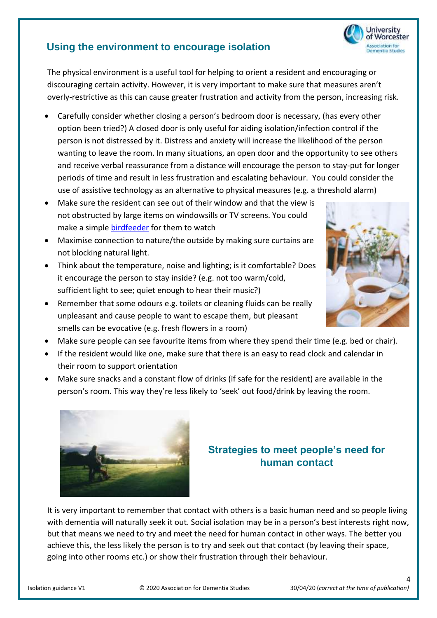## **Using the environment to encourage isolation**

The physical environment is a useful tool for helping to orient a resident and encouraging or discouraging certain activity. However, it is very important to make sure that measures aren't overly-restrictive as this can cause greater frustration and activity from the person, increasing risk.

- Carefully consider whether closing a person's bedroom door is necessary, (has every other option been tried?) A closed door is only useful for aiding isolation/infection control if the person is not distressed by it. Distress and anxiety will increase the likelihood of the person wanting to leave the room. In many situations, an open door and the opportunity to see others and receive verbal reassurance from a distance will encourage the person to stay-put for longer periods of time and result in less frustration and escalating behaviour. You could consider the use of assistive technology as an alternative to physical measures (e.g. a threshold alarm)
- Make sure the resident can see out of their window and that the view is not obstructed by large items on windowsills or TV screens. You could make a simple [birdfeeder](https://www.youtube.com/watch?v=7yV6V6rtpyc) for them to watch
- Maximise connection to nature/the outside by making sure curtains are not blocking natural light.
- Think about the temperature, noise and lighting; is it comfortable? Does it encourage the person to stay inside? (e.g. not too warm/cold, sufficient light to see; quiet enough to hear their music?)
- Remember that some odours e.g. toilets or cleaning fluids can be really unpleasant and cause people to want to escape them, but pleasant smells can be evocative (e.g. fresh flowers in a room)
- Make sure people can see favourite items from where they spend their time (e.g. bed or chair).
- If the resident would like one, make sure that there is an easy to read clock and calendar in their room to support orientation
- Make sure snacks and a constant flow of drinks (if safe for the resident) are available in the person's room. This way they're less likely to 'seek' out food/drink by leaving the room.



## **Strategies to meet people's need for human contact**

It is very important to remember that contact with others is a basic human need and so people living with dementia will naturally seek it out. Social isolation may be in a person's best interests right now, but that means we need to try and meet the need for human contact in other ways. The better you achieve this, the less likely the person is to try and seek out that contact (by leaving their space, going into other rooms etc.) or show their frustration through their behaviour.

4